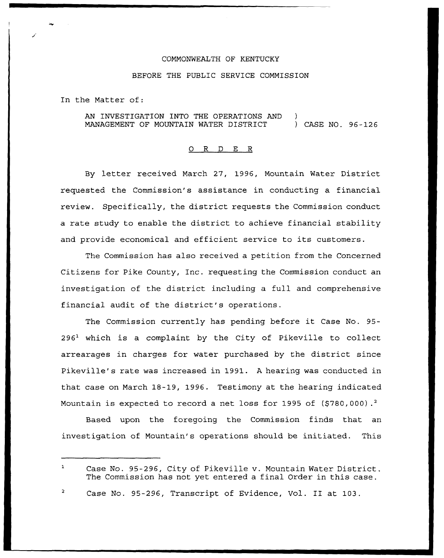## COMMONWEALTH OF KENTUCKY

## BEFORE THE PUBLIC SERVICE COMMISSION

In the Matter of:

AN INVESTIGATION INTO THE OPERATIONS AND MANAGEMENT OF MOUNTAIN WATER DISTRICT ) ) CASE NO. 96-126

## 0 R <sup>D</sup> E R

By letter received March 27, 1996, Mountain Water District requested the Commission's assistance in conducting a financial review. Specifically, the district requests the Commission conduct a rate study to enable the district to achieve financial stability and provide economical and efficient service to its customers.

The Commission has also received a petition from the Concerned Citizens for Pike County, Inc. requesting the Commission conduct an investigation of the district including a full and comprehensive financial audit of the district's operations.

The Commission currently has pending before it Case No. 95-  $296<sup>1</sup>$  which is a complaint by the City of Pikeville to collect arrearages in charges for water purchased by the district since Pikeville's rate was increased in 1991. <sup>A</sup> hearing was conducted in that case on March 18-19, 1996. Testimony at the hearing indicated Mountain is expected to record a net loss for 1995 of (\$780,000).<sup>2</sup>

Based upon the foregoing the Commission finds that an investigation of Mountain's operations should be initiated. This

 $\mathbf{1}$ Case No. 95-296, City of Pikeville v. Mountain Water District. The Commission has not yet entered a final Order in this case.

Case No. 95-296, Transcript of Evidence, Vol. II at 103.